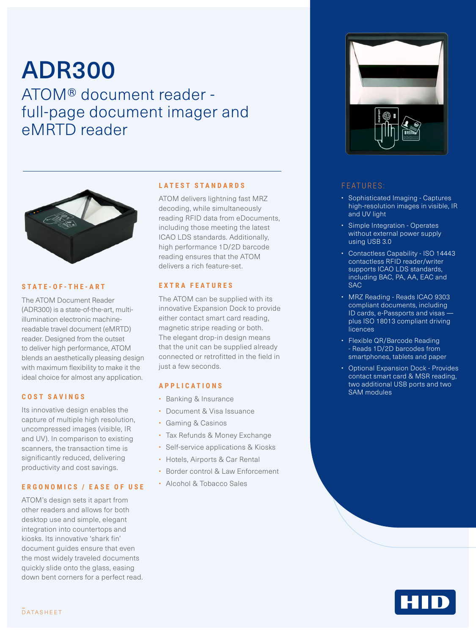# ADR300

ATOM® document reader full-page document imager and eMRTD reader



# **STATE-OF-THE-ART**

The ATOM Document Reader (ADR300) is a state-of-the-art, multiillumination electronic machinereadable travel document (eMRTD) reader. Designed from the outset to deliver high performance, ATOM blends an aesthetically pleasing design with maximum flexibility to make it the ideal choice for almost any application.

# **COST SAVINGS**

Its innovative design enables the capture of multiple high resolution, uncompressed images (visible, IR and UV). In comparison to existing scanners, the transaction time is significantly reduced, delivering productivity and cost savings.

### **ERGONOMICS / EASE OF USE**

ATOM's design sets it apart from other readers and allows for both desktop use and simple, elegant integration into countertops and kiosks. Its innovative 'shark fin' document quides ensure that even the most widely traveled documents quickly slide onto the glass, easing down bent corners for a perfect read.

# **LATEST STANDARDS**

ATOM delivers lightning fast MRZ decoding, while simultaneously reading RFID data from eDocuments, including those meeting the latest ICAO LDS standards. Additionally, high performance 1D/2D barcode reading ensures that the ATOM delivers a rich feature-set.

# **EXTRA FEATURES**

The ATOM can be supplied with its innovative Expansion Dock to provide either contact smart card reading, magnetic stripe reading or both. The elegant drop-in design means that the unit can be supplied already connected or retrofitted in the field in just a few seconds.

# **APPLICATIONS**

- Banking & Insurance
- Document & Visa Issuance
- Gaming & Casinos
- Tax Refunds & Money Exchange
- Self-service applications & Kiosks
- Hotels, Airports & Car Rental
- Border control & Law Enforcement
- Alcohol & Tobacco Sales



### FEATURES:

- Sophisticated Imaging Captures high-resolution images in visible, IR and UV light
- Simple Integration Operates without external power supply using USB 3.0
- Contactless Capability ISO 14443 contactless RFID reader/writer supports ICAO LDS standards, including BAC, PA, AA, EAC and SAC
- MRZ Reading Reads ICAO 9303 compliant documents, including ID cards, e-Passports and visas plus ISO 18013 compliant driving **licences**
- Flexible QR/Barcode Reading - Reads 1D/2D barcodes from smartphones, tablets and paper
- Optional Expansion Dock Provides contact smart card & MSR reading, two additional USB ports and two SAM modules